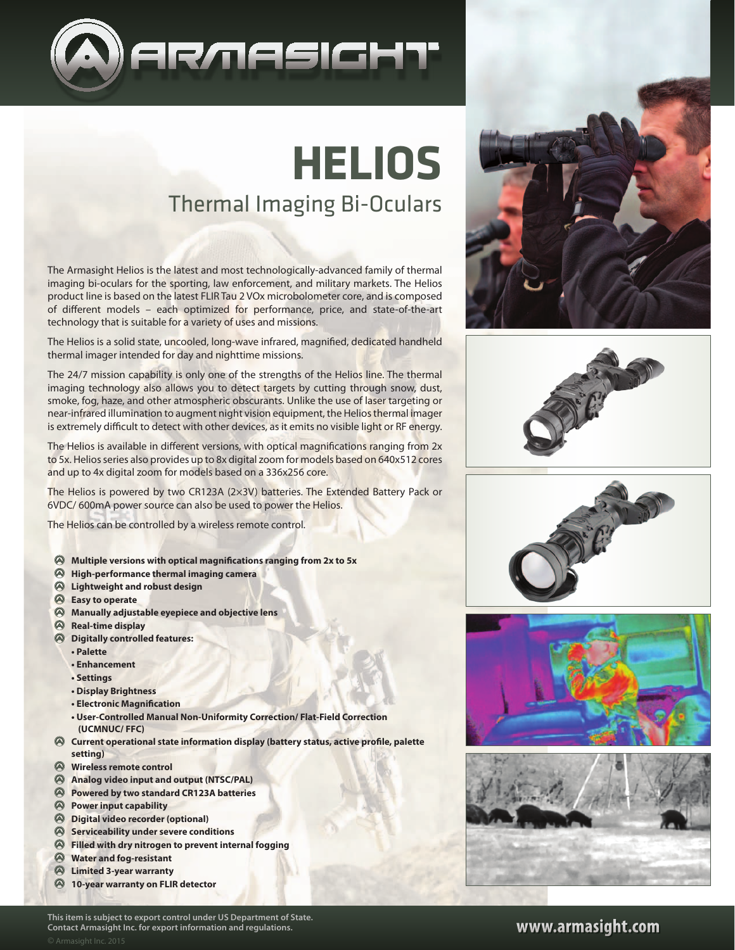

## Thermal Imaging Bi-Oculars **Helios**

The Armasight Helios is the latest and most technologically-advanced family of thermal imaging bi-oculars for the sporting, law enforcement, and military markets. The Helios product line is based on the latest FLIR Tau 2 VOx microbolometer core, and is composed of different models – each optimized for performance, price, and state-of-the-art technology that is suitable for a variety of uses and missions.

The Helios is a solid state, uncooled, long-wave infrared, magnified, dedicated handheld thermal imager intended for day and nighttime missions.

The 24/7 mission capability is only one of the strengths of the Helios line. The thermal imaging technology also allows you to detect targets by cutting through snow, dust, smoke, fog, haze, and other atmospheric obscurants. Unlike the use of laser targeting or near-infrared illumination to augment night vision equipment, the Helios thermal imager is extremely difficult to detect with other devices, as it emits no visible light or RF energy.

The Helios is available in different versions, with optical magnifications ranging from 2x to 5x. Helios series also provides up to 8x digital zoom for models based on 640x512 cores and up to 4x digital zoom for models based on a 336x256 core.

The Helios is powered by two CR123A (2×3V) batteries. The Extended Battery Pack or 6VDC/ 600mA power source can also be used to power the Helios.

The Helios can be controlled by a wireless remote control.

- **Multiple versions with optical magnifications ranging from 2x to 5x**
- **High-performance thermal imaging camera**
- **Lightweight and robust design**
- **Easy to operate**
- **Manually adjustable eyepiece and objective lens**
- **Real-time display**
- **Digitally controlled features:**
	- **Palette**
	- **Enhancement**
	- **Settings**
	- **Display Brightness**
	- **Electronic Magnification**
	- **User-Controlled Manual Non-Uniformity Correction/ Flat-Field Correction (UCMNUC/ FFC)**
- **Current operational state information display (battery status, active profile, palette setting)**
- **Wireless remote control**
- **Analog video input and output (NTSC/PAL)**
- **Powered by two standard CR123A batteries**
- **Power input capability**
- **Digital video recorder (optional)**
- **Serviceability under severe conditions**
- **Filled with dry nitrogen to prevent internal fogging**
- **Water and fog-resistant**
- **Limited 3-year warranty**
- **10-year warranty on FLIR detector**